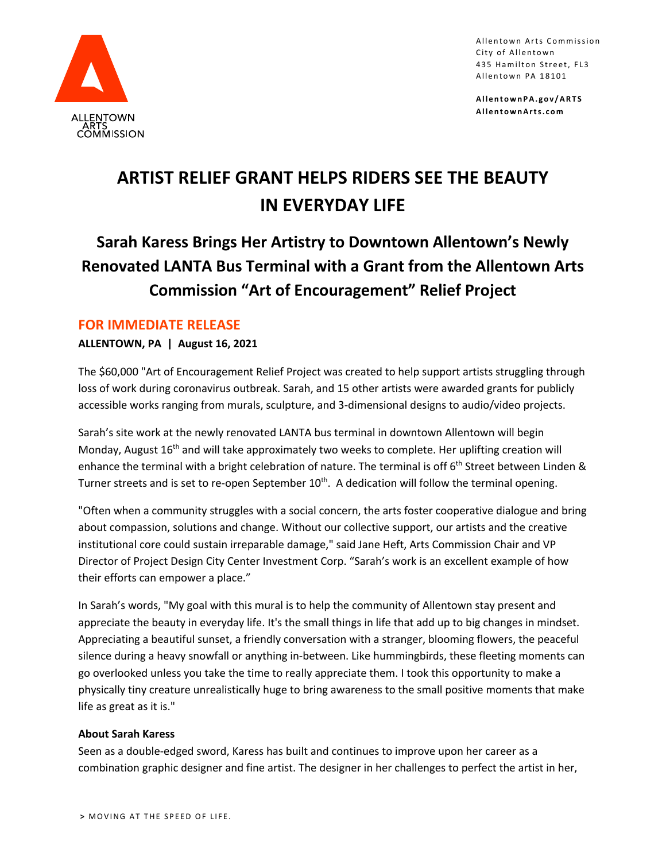

Allentown Arts Commission City of Allentown 435 Hamilton Street, FL3 Allentown PA 18101

**AllentownPA.gov/ARTS AllentownArts.com**

# **ARTIST RELIEF GRANT HELPS RIDERS SEE THE BEAUTY IN EVERYDAY LIFE**

## **Sarah Karess Brings Her Artistry to Downtown Allentown's Newly Renovated LANTA Bus Terminal with a Grant from the Allentown Arts Commission "Art of Encouragement" Relief Project**

### **FOR IMMEDIATE RELEASE**

#### **ALLENTOWN, PA | August 16, 2021**

The \$60,000 "Art of Encouragement Relief Project was created to help support artists struggling through loss of work during coronavirus outbreak. Sarah, and 15 other artists were awarded grants for publicly accessible works ranging from murals, sculpture, and 3-dimensional designs to audio/video projects.

Sarah's site work at the newly renovated LANTA bus terminal in downtown Allentown will begin Monday, August  $16<sup>th</sup>$  and will take approximately two weeks to complete. Her uplifting creation will enhance the terminal with a bright celebration of nature. The terminal is off 6<sup>th</sup> Street between Linden & Turner streets and is set to re-open September 10<sup>th</sup>. A dedication will follow the terminal opening.

"Often when a community struggles with a social concern, the arts foster cooperative dialogue and bring about compassion, solutions and change. Without our collective support, our artists and the creative institutional core could sustain irreparable damage," said Jane Heft, Arts Commission Chair and VP Director of Project Design City Center Investment Corp. "Sarah's work is an excellent example of how their efforts can empower a place."

In Sarah's words, "My goal with this mural is to help the community of Allentown stay present and appreciate the beauty in everyday life. It's the small things in life that add up to big changes in mindset. Appreciating a beautiful sunset, a friendly conversation with a stranger, blooming flowers, the peaceful silence during a heavy snowfall or anything in-between. Like hummingbirds, these fleeting moments can go overlooked unless you take the time to really appreciate them. I took this opportunity to make a physically tiny creature unrealistically huge to bring awareness to the small positive moments that make life as great as it is."

#### **About Sarah Karess**

Seen as a double-edged sword, Karess has built and continues to improve upon her career as a combination graphic designer and fine artist. The designer in her challenges to perfect the artist in her,